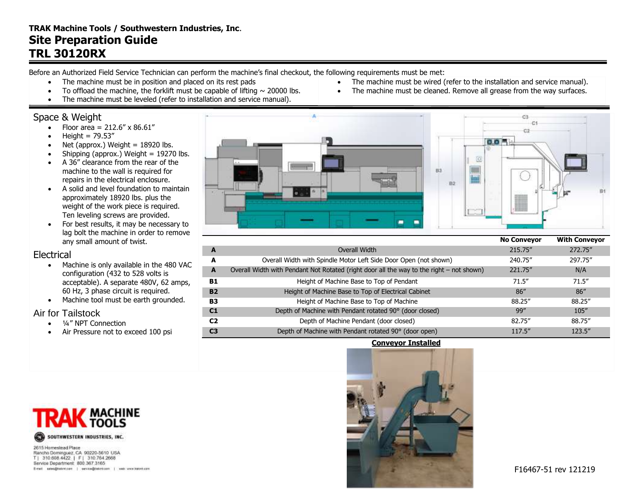# **TRAK Machine Tools / Southwestern Industries, Inc**. **Site Preparation Guide TRL 30120RX**

Before an Authorized Field Service Technician can perform the machine's final checkout, the following requirements must be met:

- The machine must be in position and placed on its rest pads
- To offload the machine, the forklift must be capable of lifting  $\sim$  20000 lbs.
- The machine must be leveled (refer to installation and service manual).

## Space & Weight

- Floor area =  $212.6'' \times 86.61''$
- $\bullet$  Height = 79.53"
- Net (approx.) Weight  $= 18920$  lbs.
- Shipping (approx.) Weight  $= 19270$  lbs.
- A 36" clearance from the rear of the machine to the wall is required for repairs in the electrical enclosure.
- A solid and level foundation to maintain approximately 18920 lbs. plus the weight of the work piece is required. Ten leveling screws are provided.
- For best results, it may be necessary to lag bolt the machine in order to remove any small amount of twist.

#### Electrical

- Machine is only available in the 480 VAC configuration (432 to 528 volts is acceptable). A separate 480V, 62 amps, 60 Hz, 3 phase circuit is required.
- Machine tool must be earth grounded.

## Air for Tailstock

- 1/4" NPT Connection
- Air Pressure not to exceed 100 psi



• The machine must be wired (refer to the installation and service manual). The machine must be cleaned. Remove all grease from the way surfaces.

|                |                                                                                          | <b>No Conveyor</b> | <b>With Conveyor</b> |
|----------------|------------------------------------------------------------------------------------------|--------------------|----------------------|
| A              | Overall Width                                                                            | 215.75"            | 272.75"              |
| A              | Overall Width with Spindle Motor Left Side Door Open (not shown)                         | 240.75"            | 297.75"              |
| A              | Overall Width with Pendant Not Rotated (right door all the way to the right – not shown) | 221.75"            | N/A                  |
| B1             | Height of Machine Base to Top of Pendant                                                 | 71.5''             | 71.5''               |
| <b>B2</b>      | Height of Machine Base to Top of Electrical Cabinet                                      | 86''               | 86''                 |
| <b>B3</b>      | Height of Machine Base to Top of Machine                                                 | 88.25"             | 88.25"               |
| C <sub>1</sub> | Depth of Machine with Pendant rotated 90° (door closed)                                  | 99''               | 105''                |
| C <sub>2</sub> | Depth of Machine Pendant (door closed)                                                   | 82.75"             | 88.75"               |
| C <sub>3</sub> | Depth of Machine with Pendant rotated 90° (door open)                                    | 117.5"             | 123.5''              |

**Conveyor Installed**



2615 Homestead Place Rancho Dominguez, CA 90220-5610 USA T| 310 608 4422 | F| 310 764 2668 Service Department: 800.367.3165 E-rail sales@tatrit.com | service@tiskrit.com | web www.hatrit.com

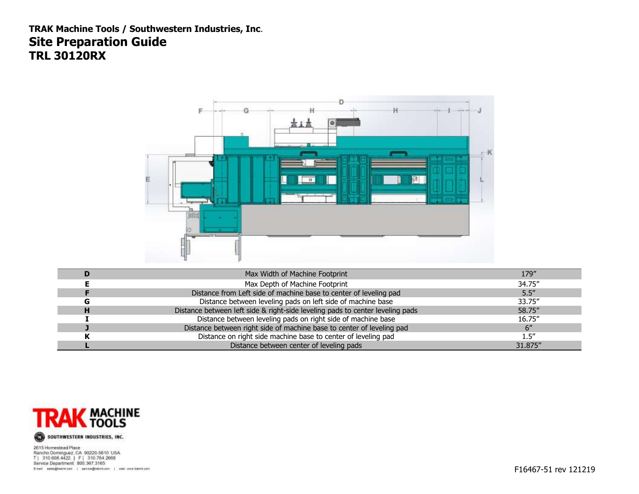**TRAK Machine Tools / Southwestern Industries, Inc**. **Site Preparation Guide TRL 30120RX**



| Max Width of Machine Footprint                                                | 179"    |
|-------------------------------------------------------------------------------|---------|
| Max Depth of Machine Footprint                                                | 34.75"  |
| Distance from Left side of machine base to center of leveling pad             | 5.5''   |
| Distance between leveling pads on left side of machine base                   | 33.75"  |
| Distance between left side & right-side leveling pads to center leveling pads | 58.75"  |
| Distance between leveling pads on right side of machine base                  | 16.75"  |
| Distance between right side of machine base to center of leveling pad         |         |
| Distance on right side machine base to center of leveling pad                 | ۔5″۔    |
| Distance between center of leveling pads                                      | 31.875" |



2615 Homestead Place zo1a Homesesa Hare<br>Rancha Dominguez, CA 90220-5610 USA<br>T| 310.608.4422 | F| 310.764.2666<br>Service Department, 800.367.3165 E-rail sales@tatotzare | service@tatotzari | was werdentialen